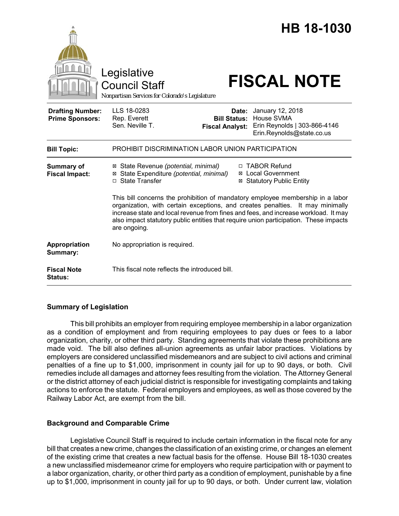|                                                   | Legislative<br>Council Staff<br>Nonpartisan Services for Colorado's Legislature                                                                                                                                                                                                                                                                                  |                                                        | HB 18-1030<br><b>FISCAL NOTE</b>                                                            |
|---------------------------------------------------|------------------------------------------------------------------------------------------------------------------------------------------------------------------------------------------------------------------------------------------------------------------------------------------------------------------------------------------------------------------|--------------------------------------------------------|---------------------------------------------------------------------------------------------|
| <b>Drafting Number:</b><br><b>Prime Sponsors:</b> | LLS 18-0283<br>Rep. Everett<br>Sen. Neville T.                                                                                                                                                                                                                                                                                                                   | Date:<br><b>Bill Status:</b><br><b>Fiscal Analyst:</b> | January 12, 2018<br>House SVMA<br>Erin Reynolds   303-866-4146<br>Erin.Reynolds@state.co.us |
| <b>Bill Topic:</b>                                | PROHIBIT DISCRIMINATION LABOR UNION PARTICIPATION                                                                                                                                                                                                                                                                                                                |                                                        |                                                                                             |
| <b>Summary of</b><br><b>Fiscal Impact:</b>        | ⊠ State Revenue (potential, minimal)<br>State Expenditure (potential, minimal)<br>⊠<br>□ State Transfer                                                                                                                                                                                                                                                          | ⊠<br>⊠                                                 | <b>TABOR Refund</b><br><b>Local Government</b><br><b>Statutory Public Entity</b>            |
|                                                   | This bill concerns the prohibition of mandatory employee membership in a labor<br>organization, with certain exceptions, and creates penalties. It may minimally<br>increase state and local revenue from fines and fees, and increase workload. It may<br>also impact statutory public entities that require union participation. These impacts<br>are ongoing. |                                                        |                                                                                             |
| Appropriation<br>Summary:                         | No appropriation is required.                                                                                                                                                                                                                                                                                                                                    |                                                        |                                                                                             |
| <b>Fiscal Note</b><br>Status:                     | This fiscal note reflects the introduced bill.                                                                                                                                                                                                                                                                                                                   |                                                        |                                                                                             |

# **Summary of Legislation**

This bill prohibits an employer from requiring employee membership in a labor organization as a condition of employment and from requiring employees to pay dues or fees to a labor organization, charity, or other third party. Standing agreements that violate these prohibitions are made void. The bill also defines all-union agreements as unfair labor practices. Violations by employers are considered unclassified misdemeanors and are subject to civil actions and criminal penalties of a fine up to \$1,000, imprisonment in county jail for up to 90 days, or both. Civil remedies include all damages and attorney fees resulting from the violation. The Attorney General or the district attorney of each judicial district is responsible for investigating complaints and taking actions to enforce the statute. Federal employers and employees, as well as those covered by the Railway Labor Act, are exempt from the bill.

# **Background and Comparable Crime**

Legislative Council Staff is required to include certain information in the fiscal note for any bill that creates a new crime, changes the classification of an existing crime, or changes an element of the existing crime that creates a new factual basis for the offense. House Bill 18-1030 creates a new unclassified misdemeanor crime for employers who require participation with or payment to a labor organization, charity, or other third party as a condition of employment, punishable by a fine up to \$1,000, imprisonment in county jail for up to 90 days, or both. Under current law, violation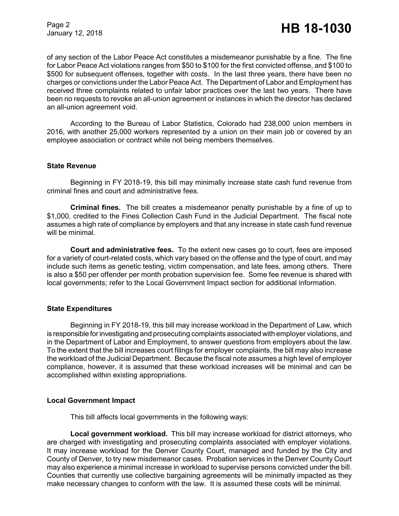of any section of the Labor Peace Act constitutes a misdemeanor punishable by a fine. The fine for Labor Peace Act violations ranges from \$50 to \$100 for the first convicted offense, and \$100 to \$500 for subsequent offenses, together with costs. In the last three years, there have been no charges or convictions under the Labor Peace Act. The Department of Labor and Employment has received three complaints related to unfair labor practices over the last two years. There have been no requests to revoke an all-union agreement or instances in which the director has declared an all-union agreement void.

According to the Bureau of Labor Statistics, Colorado had 238,000 union members in 2016, with another 25,000 workers represented by a union on their main job or covered by an employee association or contract while not being members themselves.

# **State Revenue**

Beginning in FY 2018-19, this bill may minimally increase state cash fund revenue from criminal fines and court and administrative fees.

**Criminal fines.** The bill creates a misdemeanor penalty punishable by a fine of up to \$1,000, credited to the Fines Collection Cash Fund in the Judicial Department. The fiscal note assumes a high rate of compliance by employers and that any increase in state cash fund revenue will be minimal.

**Court and administrative fees.** To the extent new cases go to court, fees are imposed for a variety of court-related costs, which vary based on the offense and the type of court, and may include such items as genetic testing, victim compensation, and late fees, among others. There is also a \$50 per offender per month probation supervision fee. Some fee revenue is shared with local governments; refer to the Local Government Impact section for additional information.

# **State Expenditures**

Beginning in FY 2018-19, this bill may increase workload in the Department of Law, which is responsible for investigating and prosecuting complaints associated with employer violations, and in the Department of Labor and Employment, to answer questions from employers about the law. To the extent that the bill increases court filings for employer complaints, the bill may also increase the workload of the Judicial Department. Because the fiscal note assumes a high level of employer compliance, however, it is assumed that these workload increases will be minimal and can be accomplished within existing appropriations.

# **Local Government Impact**

This bill affects local governments in the following ways:

**Local government workload.** This bill may increase workload for district attorneys, who are charged with investigating and prosecuting complaints associated with employer violations. It may increase workload for the Denver County Court, managed and funded by the City and County of Denver, to try new misdemeanor cases. Probation services in the Denver County Court may also experience a minimal increase in workload to supervise persons convicted under the bill. Counties that currently use collective bargaining agreements will be minimally impacted as they make necessary changes to conform with the law. It is assumed these costs will be minimal.